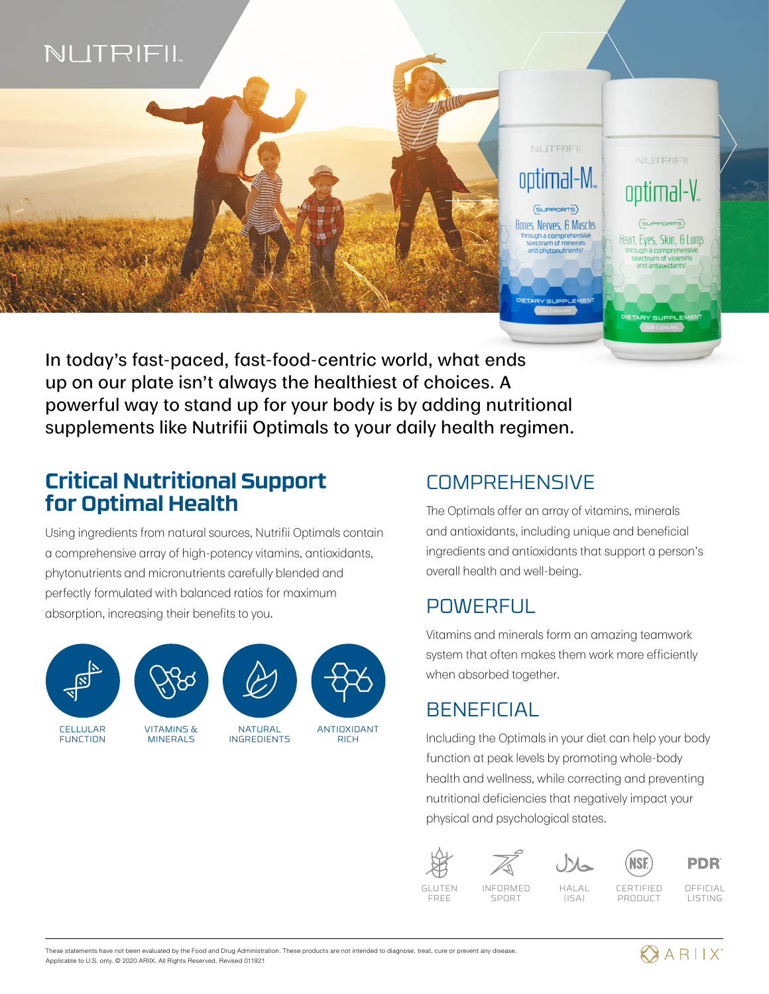

In today's fast-paced, fast-food-centric world, what ends up on our plate isn't always the healthiest of choices. A powerful way to stand up for your body is by adding nutritional supplements like Nutrifii Optimals to your daily health regimen.

### **Critical Nutritional Support for Optimal Health**

Using ingredients from natural sources, Nutrifii Optimals contain a comprehensive array of high-potency vitamins, antioxidants, phytonutrients and micronutrients carefully blended and perfectly formulated with balanced ratios for maximum absorption, increasing their benefits to you.





CELLULAR **FUNCTION** 

VITAMINS & MINERAL<sub>S</sub>



ANTIOXIDANT RICH

### **COMPREHENSIVE**

The Optimals offer an array of vitamins, minerals and antioxidants, including unique and beneficial ingredients and antioxidants that support a person's overall health and well-being.

### POWERFUL

Vitamins and minerals form an amazing teamwork system that often makes them work more efficiently when absorbed together.

# **BENEFICIAL**

Including the Optimals in your diet can help your body function at peak levels by promoting whole-body health and wellness, while correcting and preventing nutritional deficiencies that negatively impact your physical and psychological states.







**PDR** 

GLUTEN FREE

INFORMED SPORT

CERTIFIED PRODUCT

**NSF** 

OFFICIAL LISTING

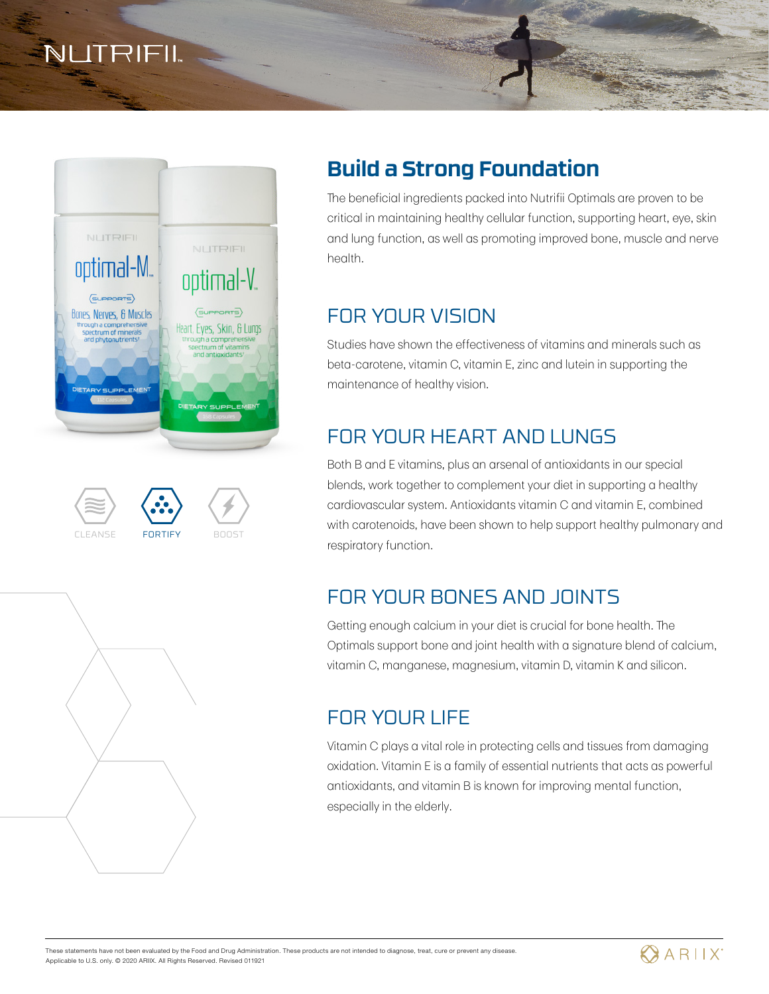**NLITRIFIL** 



# CLEANSE FORTIFY BOOST



## **Build a Strong Foundation**

The beneficial ingredients packed into Nutrifii Optimals are proven to be critical in maintaining healthy cellular function, supporting heart, eye, skin and lung function, as well as promoting improved bone, muscle and nerve health.

# FOR YOUR VISION

Studies have shown the effectiveness of vitamins and minerals such as beta-carotene, vitamin C, vitamin E, zinc and lutein in supporting the maintenance of healthy vision.

# FOR YOUR HEART AND LUNGS

Both B and E vitamins, plus an arsenal of antioxidants in our special blends, work together to complement your diet in supporting a healthy cardiovascular system. Antioxidants vitamin C and vitamin E, combined with carotenoids, have been shown to help support healthy pulmonary and respiratory function.

# FOR YOUR BONES AND JOINTS

Getting enough calcium in your diet is crucial for bone health. The Optimals support bone and joint health with a signature blend of calcium, vitamin C, manganese, magnesium, vitamin D, vitamin K and silicon.

### FOR YOUR LIFE

Vitamin C plays a vital role in protecting cells and tissues from damaging oxidation. Vitamin E is a family of essential nutrients that acts as powerful antioxidants, and vitamin B is known for improving mental function, especially in the elderly.

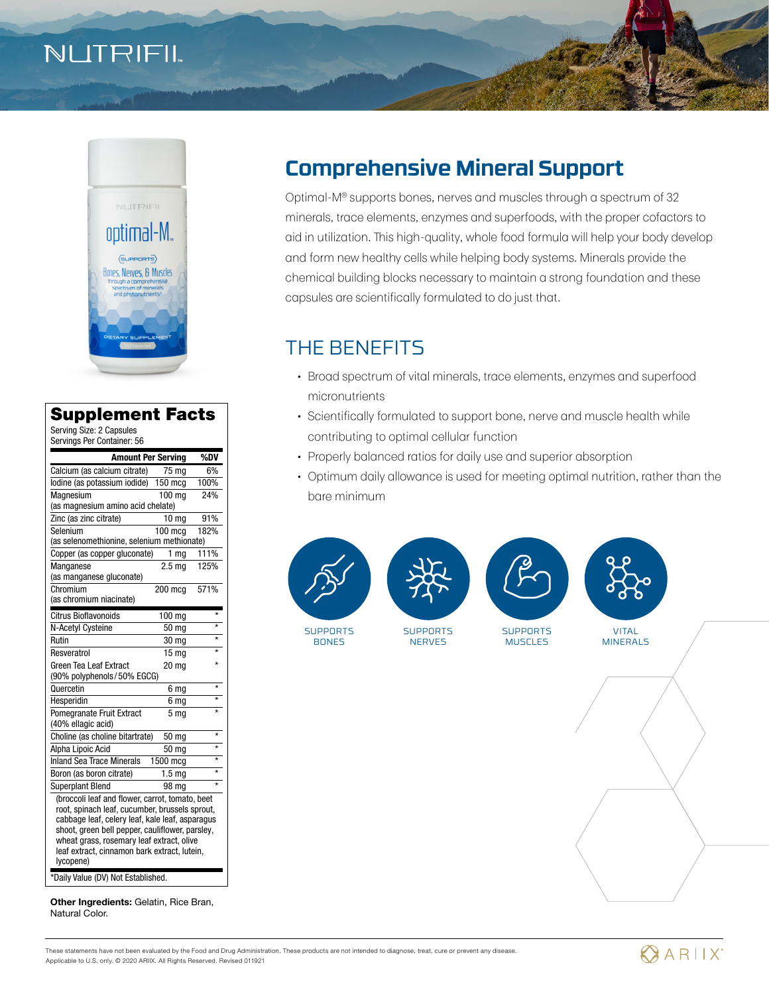# NUTRIFIL



#### Supplement Facts

Serving Size: 2 Capsules Servings Per Container: 56

| <b>Amount Per Serving</b>                                                                                                                                                                                                                                                                                         |                   | %DV               |  |
|-------------------------------------------------------------------------------------------------------------------------------------------------------------------------------------------------------------------------------------------------------------------------------------------------------------------|-------------------|-------------------|--|
| Calcium (as calcium citrate)                                                                                                                                                                                                                                                                                      | 75 mg             | 6%                |  |
| lodine (as potassium iodide)                                                                                                                                                                                                                                                                                      | 150 mcg           | 100%              |  |
| Magnesium                                                                                                                                                                                                                                                                                                         | 100 mg            | 24%               |  |
| (as magnesium amino acid chelate)                                                                                                                                                                                                                                                                                 |                   |                   |  |
| Zinc (as zinc citrate)                                                                                                                                                                                                                                                                                            | 10 <sub>mg</sub>  | 91%               |  |
| Selenium                                                                                                                                                                                                                                                                                                          | 100 mca           | 182%              |  |
| (as selenomethionine, selenium methionate)                                                                                                                                                                                                                                                                        |                   |                   |  |
| Copper (as copper gluconate)                                                                                                                                                                                                                                                                                      | 1 <sub>mg</sub>   | 111%              |  |
| Manganese<br>(as manganese gluconate)                                                                                                                                                                                                                                                                             | 2.5 <sub>m</sub>  | 125%              |  |
| Chromium                                                                                                                                                                                                                                                                                                          | 200 mcg           | 571%              |  |
| (as chromium niacinate)                                                                                                                                                                                                                                                                                           |                   |                   |  |
| Citrus Bioflavonoids                                                                                                                                                                                                                                                                                              | $100$ mg          | $\star$           |  |
| N-Acetyl Cysteine                                                                                                                                                                                                                                                                                                 | 50 mg             | $\star$           |  |
| Rutin                                                                                                                                                                                                                                                                                                             | 30 mg             | ÷                 |  |
| Resveratrol                                                                                                                                                                                                                                                                                                       | 15 <sub>ma</sub>  | $\star$           |  |
| <b>Green Tea Leaf Extract</b>                                                                                                                                                                                                                                                                                     | 20 <sub>mg</sub>  |                   |  |
| (90% polyphenols/50% EGCG)                                                                                                                                                                                                                                                                                        |                   |                   |  |
| Quercetin                                                                                                                                                                                                                                                                                                         | 6 mg              | $\star$           |  |
| Hesperidin                                                                                                                                                                                                                                                                                                        | 6 mg              | $\overline{\ast}$ |  |
| Pomegranate Fruit Extract<br>(40% ellagic acid)                                                                                                                                                                                                                                                                   | 5 <sub>mq</sub>   | ÷                 |  |
| Choline (as choline bitartrate)                                                                                                                                                                                                                                                                                   | 50 mg             | $\star$           |  |
| Alpha Lipoic Acid                                                                                                                                                                                                                                                                                                 | 50 mg             | ÷                 |  |
| <b>Inland Sea Trace Minerals</b>                                                                                                                                                                                                                                                                                  | 1500 mcg          | ÷                 |  |
| Boron (as boron citrate)                                                                                                                                                                                                                                                                                          | 1.5 <sub>mq</sub> | $\star$           |  |
| <b>Superplant Blend</b>                                                                                                                                                                                                                                                                                           | 98 mg             | $\star$           |  |
| (broccoli leaf and flower, carrot, tomato, beet<br>root, spinach leaf, cucumber, brussels sprout,<br>cabbage leaf, celery leaf, kale leaf, asparagus<br>shoot, green bell pepper, cauliflower, parsley,<br>wheat grass, rosemary leaf extract, olive<br>leaf extract, cinnamon bark extract, lutein,<br>lycopene) |                   |                   |  |
| *Daily Value (DV) Not Established.                                                                                                                                                                                                                                                                                |                   |                   |  |

Other Ingredients: Gelatin, Rice Bran, Natural Color.

## **Comprehensive Mineral Support**

Optimal-M® supports bones, nerves and muscles through a spectrum of 32 minerals, trace elements, enzymes and superfoods, with the proper cofactors to aid in utilization. This high-quality, whole food formula will help your body develop and form new healthy cells while helping body systems. Minerals provide the chemical building blocks necessary to maintain a strong foundation and these capsules are scientifically formulated to do just that.

### THE BENEFITS

- Broad spectrum of vital minerals, trace elements, enzymes and superfood micronutrients
- Scientifically formulated to support bone, nerve and muscle health while contributing to optimal cellular function
- Properly balanced ratios for daily use and superior absorption
- Optimum daily allowance is used for meeting optimal nutrition, rather than the bare minimum



**SUPPORTS BONES** 







MINERALS

**SUPPORTS NERVES SUPPORTS** MUSCLES VITAL

These statements have not been evaluated by the Food and Drug Administration. These products are not intended to diagnose, treat, cure or prevent any disease. Applicable to U.S. only. © 2020 ARIIX. All Rights Reserved. Revised 011921

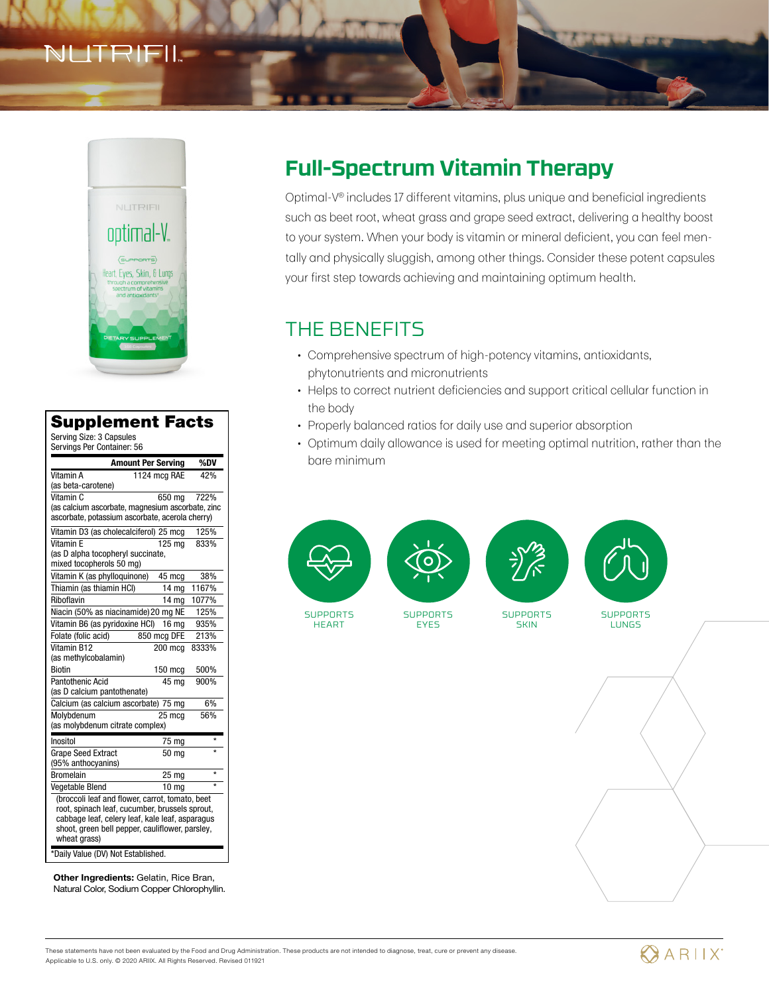# TRIF



#### Supplement Facts

Serving Size: 3 Capsules Servings Per Container: 56

| σαινιπμο παι συπταιπατ. συ                                                                         |                  |             |  |
|----------------------------------------------------------------------------------------------------|------------------|-------------|--|
| <b>Amount Per Serving</b>                                                                          |                  | %DV         |  |
| Vitamin A                                                                                          | 1124 mcg RAE     | 42%         |  |
| (as beta-carotene)                                                                                 |                  |             |  |
| Vitamin C                                                                                          | 650 mg           | <b>722%</b> |  |
| (as calcium ascorbate, magnesium ascorbate, zinc                                                   |                  |             |  |
| ascorbate, potassium ascorbate, acerola cherry)                                                    |                  |             |  |
| Vitamin D3 (as cholecalciferol) 25 mcg                                                             |                  | 125%        |  |
| Vitamin F                                                                                          | 125 ma           | 833%        |  |
| (as D alpha tocopheryl succinate,                                                                  |                  |             |  |
| mixed tocopherols 50 mg)                                                                           |                  |             |  |
| Vitamin K (as phylloquinone)                                                                       | 45 mcg           | 38%         |  |
| Thiamin (as thiamin HCI)                                                                           | 14 mg            | 1167%       |  |
| Riboflavin                                                                                         | 14 <sub>mg</sub> | 1077%       |  |
| Niacin (50% as niacinamide) 20 mg NE                                                               |                  | 125%        |  |
| Vitamin B6 (as pyridoxine HCI)                                                                     | 16 mg            | 935%        |  |
| Folate (folic acid)                                                                                | 850 mcg DFE      | 213%        |  |
| Vitamin B12                                                                                        | 200 mca          | 8333%       |  |
| (as methylcobalamin)                                                                               |                  |             |  |
| <b>Biotin</b>                                                                                      | 150 mcq          | 500%        |  |
| Pantothenic Acid                                                                                   | 45 mg            | 900%        |  |
| (as D calcium pantothenate)                                                                        |                  |             |  |
| Calcium (as calcium ascorbate) 75 mg                                                               |                  | 6%          |  |
| Molvbdenum                                                                                         | 25 mca           | 56%         |  |
| (as molybdenum citrate complex)                                                                    |                  |             |  |
| Inositol                                                                                           | 75 mg            | $\star$     |  |
| <b>Grape Seed Extract</b>                                                                          | 50 mg            | $\star$     |  |
| (95% anthocyanins)                                                                                 |                  |             |  |
| <b>Bromelain</b>                                                                                   | 25 mg            | $\star$     |  |
| Vegetable Blend                                                                                    | 10 <sub>mg</sub> | $\star$     |  |
| (broccoli leaf and flower, carrot, tomato, beet                                                    |                  |             |  |
| root, spinach leaf, cucumber, brussels sprout,                                                     |                  |             |  |
| cabbage leaf, celery leaf, kale leaf, asparagus<br>shoot, green bell pepper, cauliflower, parsley, |                  |             |  |
| wheat grass)                                                                                       |                  |             |  |
|                                                                                                    |                  |             |  |
| *Daily Value (DV) Not Established.                                                                 |                  |             |  |

Other Ingredients: Gelatin, Rice Bran, Natural Color, Sodium Copper Chlorophyllin.

# **Full-Spectrum Vitamin Therapy**

Optimal-V® includes 17 different vitamins, plus unique and beneficial ingredients such as beet root, wheat grass and grape seed extract, delivering a healthy boost to your system. When your body is vitamin or mineral deficient, you can feel mentally and physically sluggish, among other things. Consider these potent capsules your first step towards achieving and maintaining optimum health.

### THE BENEFITS

- Comprehensive spectrum of high-potency vitamins, antioxidants, phytonutrients and micronutrients
- Helps to correct nutrient deficiencies and support critical cellular function in the body
- Properly balanced ratios for daily use and superior absorption
- Optimum daily allowance is used for meeting optimal nutrition, rather than the bare minimum



**SUPPORTS** HEART

**SUPPORTS EYES** 

**SUPPORTS SKIN** 

**SUPPORTS** LUNGS

These statements have not been evaluated by the Food and Drug Administration. These products are not intended to diagnose, treat, cure or prevent any disease. Applicable to U.S. only. © 2020 ARIIX. All Rights Reserved. Revised 011921